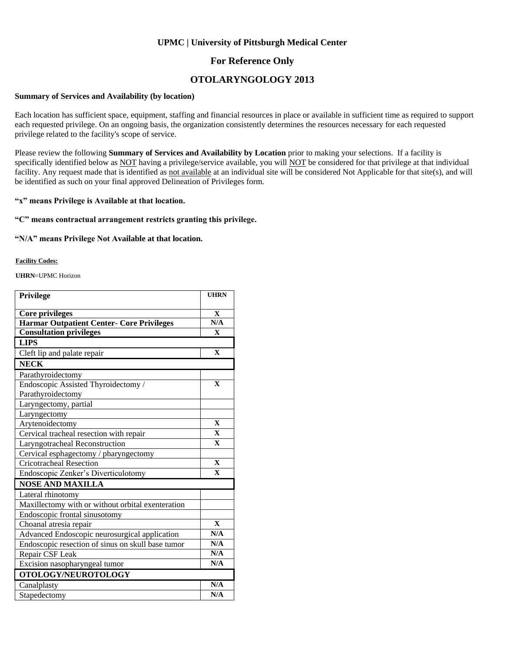### **UPMC | University of Pittsburgh Medical Center**

### **For Reference Only**

## **OTOLARYNGOLOGY 2013**

#### **Summary of Services and Availability (by location)**

Each location has sufficient space, equipment, staffing and financial resources in place or available in sufficient time as required to support each requested privilege. On an ongoing basis, the organization consistently determines the resources necessary for each requested privilege related to the facility's scope of service.

Please review the following **Summary of Services and Availability by Location** prior to making your selections. If a facility is specifically identified below as NOT having a privilege/service available, you will NOT be considered for that privilege at that individual facility. Any request made that is identified as not available at an individual site will be considered Not Applicable for that site(s), and will be identified as such on your final approved Delineation of Privileges form.

**"x" means Privilege is Available at that location.**

### **"C" means contractual arrangement restricts granting this privilege.**

#### **"N/A" means Privilege Not Available at that location.**

#### **Facility Codes:**

**UHRN**=UPMC Horizon

| <b>Privilege</b>                                  | <b>UHRN</b>             |
|---------------------------------------------------|-------------------------|
|                                                   |                         |
| <b>Core privileges</b>                            | $\mathbf X$             |
| <b>Harmar Outpatient Center- Core Privileges</b>  | N/A                     |
| <b>Consultation privileges</b>                    | $\mathbf{X}$            |
| <b>LIPS</b>                                       |                         |
| Cleft lip and palate repair                       | $\mathbf{X}$            |
| <b>NECK</b>                                       |                         |
| Parathyroidectomy                                 |                         |
| Endoscopic Assisted Thyroidectomy /               | $\mathbf{X}$            |
| Parathyroidectomy                                 |                         |
| Laryngectomy, partial                             |                         |
| Laryngectomy                                      |                         |
| Arytenoidectomy                                   | $\mathbf{X}$            |
| Cervical tracheal resection with repair           | $\mathbf{X}$            |
| Laryngotracheal Reconstruction                    | $\mathbf{x}$            |
| Cervical esphagectomy / pharyngectomy             |                         |
| <b>Cricotracheal Resection</b>                    | $\overline{\mathbf{X}}$ |
| Endoscopic Zenker's Diverticulotomy               | $\mathbf{X}$            |
| <b>NOSE AND MAXILLA</b>                           |                         |
| Lateral rhinotomy                                 |                         |
| Maxillectomy with or without orbital exenteration |                         |
| Endoscopic frontal sinusotomy                     |                         |
| Choanal atresia repair                            | $\mathbf{X}$            |
| Advanced Endoscopic neurosurgical application     | N/A                     |
| Endoscopic resection of sinus on skull base tumor | N/A                     |
| Repair CSF Leak                                   | N/A                     |
| Excision nasopharyngeal tumor                     | N/A                     |
| OTOLOGY/NEUROTOLOGY                               |                         |
| Canalplasty                                       | N/A                     |
| Stapedectomy                                      | N/A                     |